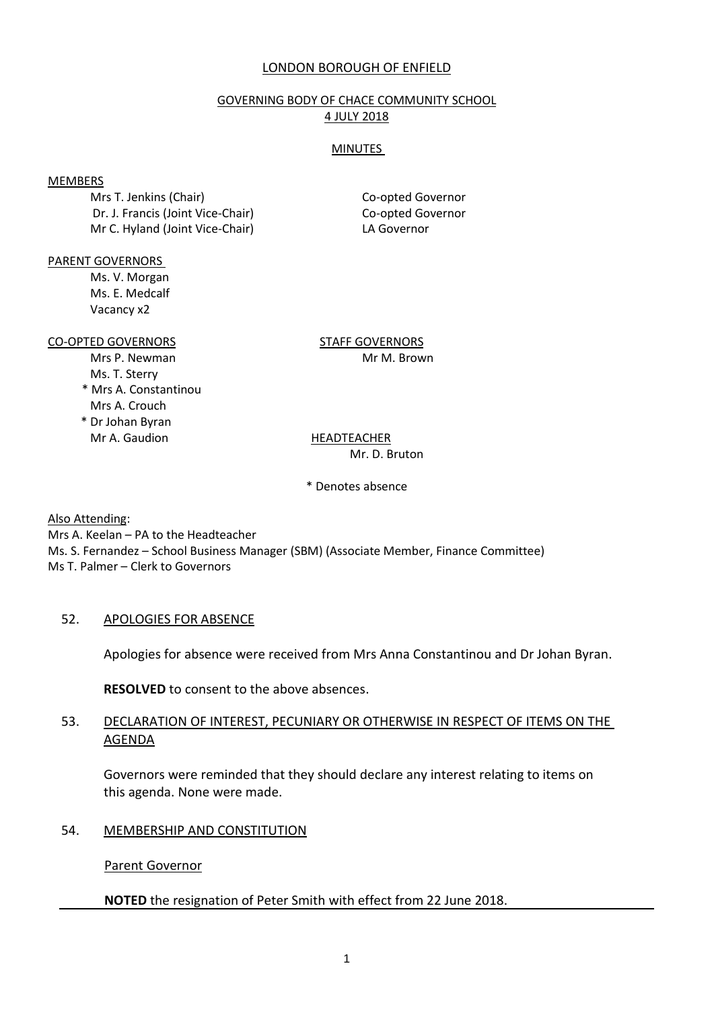## LONDON BOROUGH OF ENFIELD

#### GOVERNING BODY OF CHACE COMMUNITY SCHOOL 4 JULY 2018

#### **MINUTES**

#### MEMBERS

Mrs T. Jenkins (Chair) Co-opted Governor Dr. J. Francis (Joint Vice-Chair) Co-opted Governor Mr C. Hyland (Joint Vice-Chair) LA Governor

PARENT GOVERNORS

Ms. V. Morgan Ms. E. Medcalf Vacancy x2

CO-OPTED GOVERNORS STAFF GOVERNORS

- Ms. T. Sterry
- \* Mrs A. Constantinou Mrs A. Crouch
- \* Dr Johan Byran Mr A. Gaudion HEADTEACHER

Mrs P. Newman Mrs 9. Newman Mrs 9. Newman Mrs 9. Newman Mrs 9. News 9. News 9. News 9. News 9. News 9. News 9.

# Mr. D. Bruton

\* Denotes absence

Also Attending:

Mrs A. Keelan – PA to the Headteacher Ms. S. Fernandez – School Business Manager (SBM) (Associate Member, Finance Committee) Ms T. Palmer – Clerk to Governors

# 52. APOLOGIES FOR ABSENCE

Apologies for absence were received from Mrs Anna Constantinou and Dr Johan Byran.

**RESOLVED** to consent to the above absences.

## 53. DECLARATION OF INTEREST, PECUNIARY OR OTHERWISE IN RESPECT OF ITEMS ON THE AGENDA

Governors were reminded that they should declare any interest relating to items on this agenda. None were made.

# 54. MEMBERSHIP AND CONSTITUTION

Parent Governor

# **NOTED** the resignation of Peter Smith with effect from 22 June 2018.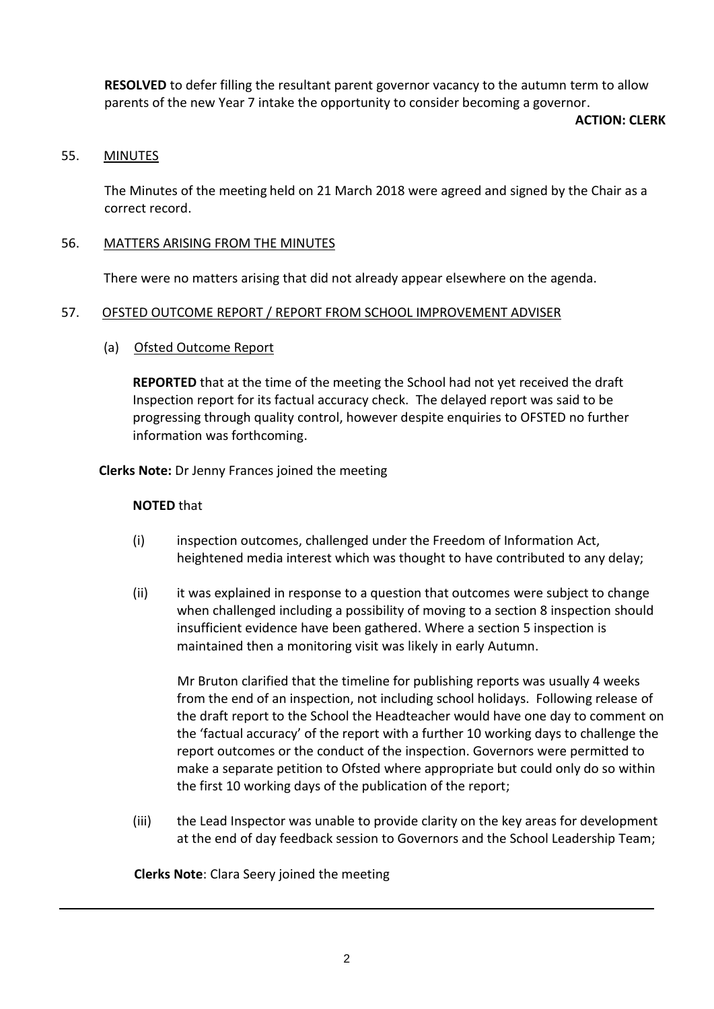**RESOLVED** to defer filling the resultant parent governor vacancy to the autumn term to allow parents of the new Year 7 intake the opportunity to consider becoming a governor.

#### **ACTION: CLERK**

## 55. MINUTES

The Minutes of the meeting held on 21 March 2018 were agreed and signed by the Chair as a correct record.

## 56. MATTERS ARISING FROM THE MINUTES

There were no matters arising that did not already appear elsewhere on the agenda.

## 57. OFSTED OUTCOME REPORT / REPORT FROM SCHOOL IMPROVEMENT ADVISER

## (a) Ofsted Outcome Report

**REPORTED** that at the time of the meeting the School had not yet received the draft Inspection report for its factual accuracy check. The delayed report was said to be progressing through quality control, however despite enquiries to OFSTED no further information was forthcoming.

**Clerks Note:** Dr Jenny Frances joined the meeting

## **NOTED** that

- (i) inspection outcomes, challenged under the Freedom of Information Act, heightened media interest which was thought to have contributed to any delay;
- (ii) it was explained in response to a question that outcomes were subject to change when challenged including a possibility of moving to a section 8 inspection should insufficient evidence have been gathered. Where a section 5 inspection is maintained then a monitoring visit was likely in early Autumn.

Mr Bruton clarified that the timeline for publishing reports was usually 4 weeks from the end of an inspection, not including school holidays. Following release of the draft report to the School the Headteacher would have one day to comment on the 'factual accuracy' of the report with a further 10 working days to challenge the report outcomes or the conduct of the inspection. Governors were permitted to make a separate petition to Ofsted where appropriate but could only do so within the first 10 working days of the publication of the report;

(iii) the Lead Inspector was unable to provide clarity on the key areas for development at the end of day feedback session to Governors and the School Leadership Team;

**Clerks Note**: Clara Seery joined the meeting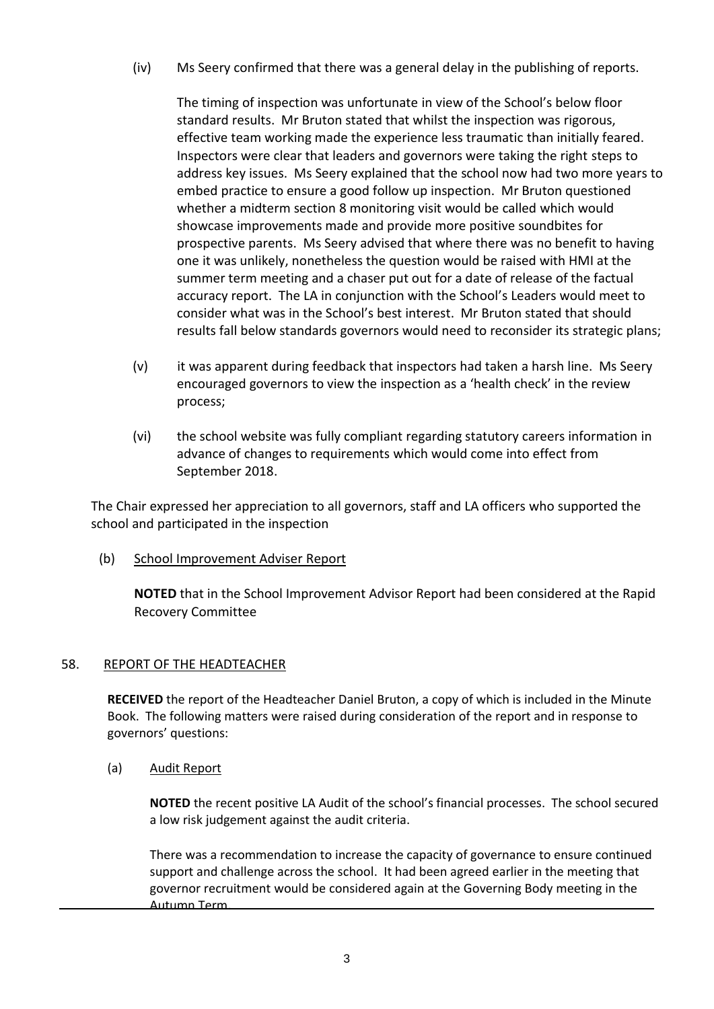(iv) Ms Seery confirmed that there was a general delay in the publishing of reports.

The timing of inspection was unfortunate in view of the School's below floor standard results. Mr Bruton stated that whilst the inspection was rigorous, effective team working made the experience less traumatic than initially feared. Inspectors were clear that leaders and governors were taking the right steps to address key issues. Ms Seery explained that the school now had two more years to embed practice to ensure a good follow up inspection. Mr Bruton questioned whether a midterm section 8 monitoring visit would be called which would showcase improvements made and provide more positive soundbites for prospective parents. Ms Seery advised that where there was no benefit to having one it was unlikely, nonetheless the question would be raised with HMI at the summer term meeting and a chaser put out for a date of release of the factual accuracy report. The LA in conjunction with the School's Leaders would meet to consider what was in the School's best interest. Mr Bruton stated that should results fall below standards governors would need to reconsider its strategic plans;

- (v) it was apparent during feedback that inspectors had taken a harsh line. Ms Seery encouraged governors to view the inspection as a 'health check' in the review process;
- (vi) the school website was fully compliant regarding statutory careers information in advance of changes to requirements which would come into effect from September 2018.

The Chair expressed her appreciation to all governors, staff and LA officers who supported the school and participated in the inspection

(b) School Improvement Adviser Report

**NOTED** that in the School Improvement Advisor Report had been considered at the Rapid Recovery Committee

### 58. REPORT OF THE HEADTEACHER

**RECEIVED** the report of the Headteacher Daniel Bruton, a copy of which is included in the Minute Book. The following matters were raised during consideration of the report and in response to governors' questions:

(a) Audit Report

**NOTED** the recent positive LA Audit of the school's financial processes. The school secured a low risk judgement against the audit criteria.

There was a recommendation to increase the capacity of governance to ensure continued support and challenge across the school. It had been agreed earlier in the meeting that governor recruitment would be considered again at the Governing Body meeting in the Autumn Term.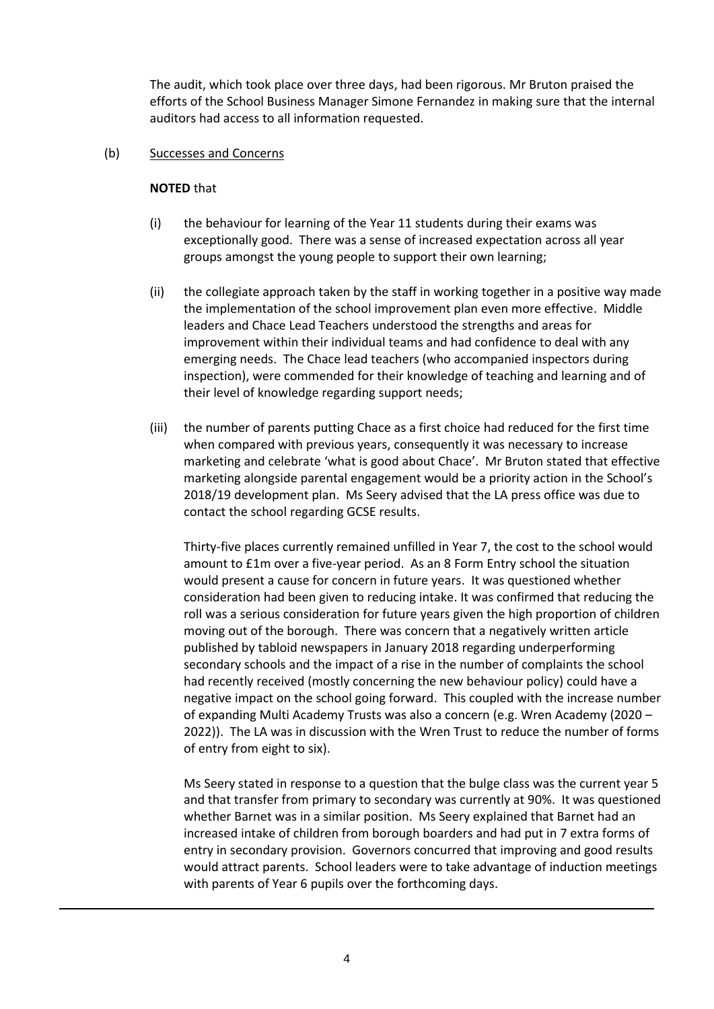The audit, which took place over three days, had been rigorous. Mr Bruton praised the efforts of the School Business Manager Simone Fernandez in making sure that the internal auditors had access to all information requested.

#### (b) Successes and Concerns

#### **NOTED** that

- (i) the behaviour for learning of the Year 11 students during their exams was exceptionally good. There was a sense of increased expectation across all year groups amongst the young people to support their own learning;
- (ii) the collegiate approach taken by the staff in working together in a positive way made the implementation of the school improvement plan even more effective. Middle leaders and Chace Lead Teachers understood the strengths and areas for improvement within their individual teams and had confidence to deal with any emerging needs. The Chace lead teachers (who accompanied inspectors during inspection), were commended for their knowledge of teaching and learning and of their level of knowledge regarding support needs;
- (iii) the number of parents putting Chace as a first choice had reduced for the first time when compared with previous years, consequently it was necessary to increase marketing and celebrate 'what is good about Chace'. Mr Bruton stated that effective marketing alongside parental engagement would be a priority action in the School's 2018/19 development plan. Ms Seery advised that the LA press office was due to contact the school regarding GCSE results.

Thirty-five places currently remained unfilled in Year 7, the cost to the school would amount to £1m over a five-year period. As an 8 Form Entry school the situation would present a cause for concern in future years. It was questioned whether consideration had been given to reducing intake. It was confirmed that reducing the roll was a serious consideration for future years given the high proportion of children moving out of the borough. There was concern that a negatively written article published by tabloid newspapers in January 2018 regarding underperforming secondary schools and the impact of a rise in the number of complaints the school had recently received (mostly concerning the new behaviour policy) could have a negative impact on the school going forward. This coupled with the increase number of expanding Multi Academy Trusts was also a concern (e.g. Wren Academy (2020 – 2022)). The LA was in discussion with the Wren Trust to reduce the number of forms of entry from eight to six).

Ms Seery stated in response to a question that the bulge class was the current year 5 and that transfer from primary to secondary was currently at 90%. It was questioned whether Barnet was in a similar position. Ms Seery explained that Barnet had an increased intake of children from borough boarders and had put in 7 extra forms of entry in secondary provision. Governors concurred that improving and good results would attract parents. School leaders were to take advantage of induction meetings with parents of Year 6 pupils over the forthcoming days.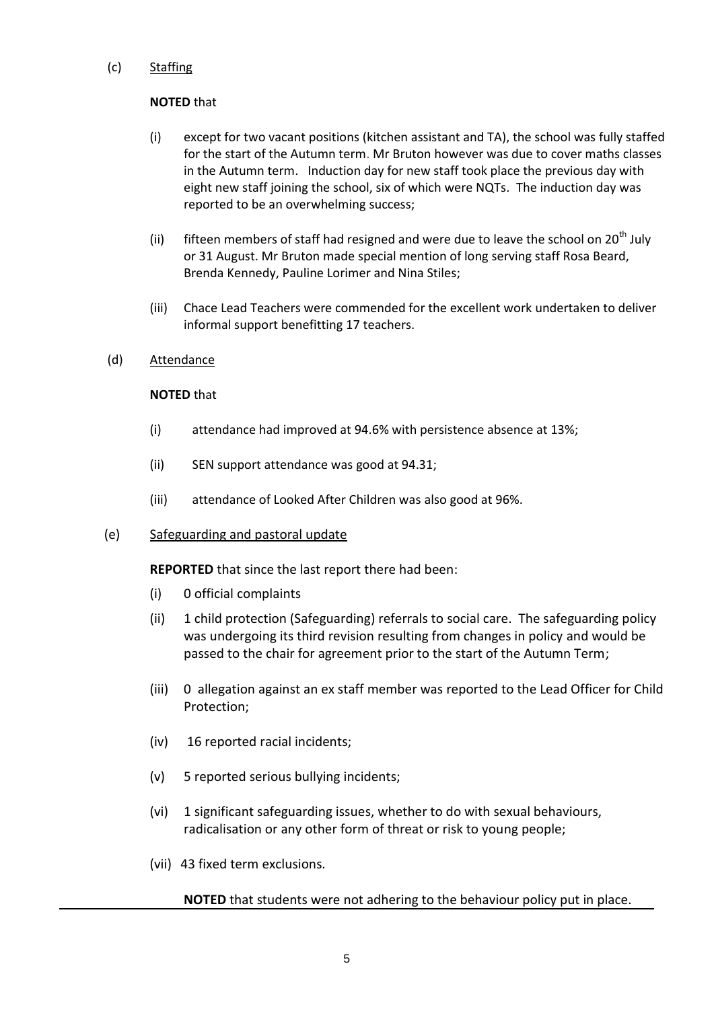## (c) Staffing

## **NOTED** that

- (i) except for two vacant positions (kitchen assistant and TA), the school was fully staffed for the start of the Autumn term. Mr Bruton however was due to cover maths classes in the Autumn term. Induction day for new staff took place the previous day with eight new staff joining the school, six of which were NQTs. The induction day was reported to be an overwhelming success;
- (ii) fifteen members of staff had resigned and were due to leave the school on  $20<sup>th</sup>$  July or 31 August. Mr Bruton made special mention of long serving staff Rosa Beard, Brenda Kennedy, Pauline Lorimer and Nina Stiles;
- (iii) Chace Lead Teachers were commended for the excellent work undertaken to deliver informal support benefitting 17 teachers.
- (d) Attendance

### **NOTED** that

- (i) attendance had improved at 94.6% with persistence absence at 13%;
- (ii) SEN support attendance was good at 94.31;
- (iii) attendance of Looked After Children was also good at 96%.
- (e) Safeguarding and pastoral update

**REPORTED** that since the last report there had been:

- (i) 0 official complaints
- (ii) 1 child protection (Safeguarding) referrals to social care. The safeguarding policy was undergoing its third revision resulting from changes in policy and would be passed to the chair for agreement prior to the start of the Autumn Term;
- (iii) 0 allegation against an ex staff member was reported to the Lead Officer for Child Protection;
- (iv) 16 reported racial incidents;
- (v) 5 reported serious bullying incidents;
- (vi) 1 significant safeguarding issues, whether to do with sexual behaviours, radicalisation or any other form of threat or risk to young people;
- (vii) 43 fixed term exclusions.

# **NOTED** that students were not adhering to the behaviour policy put in place.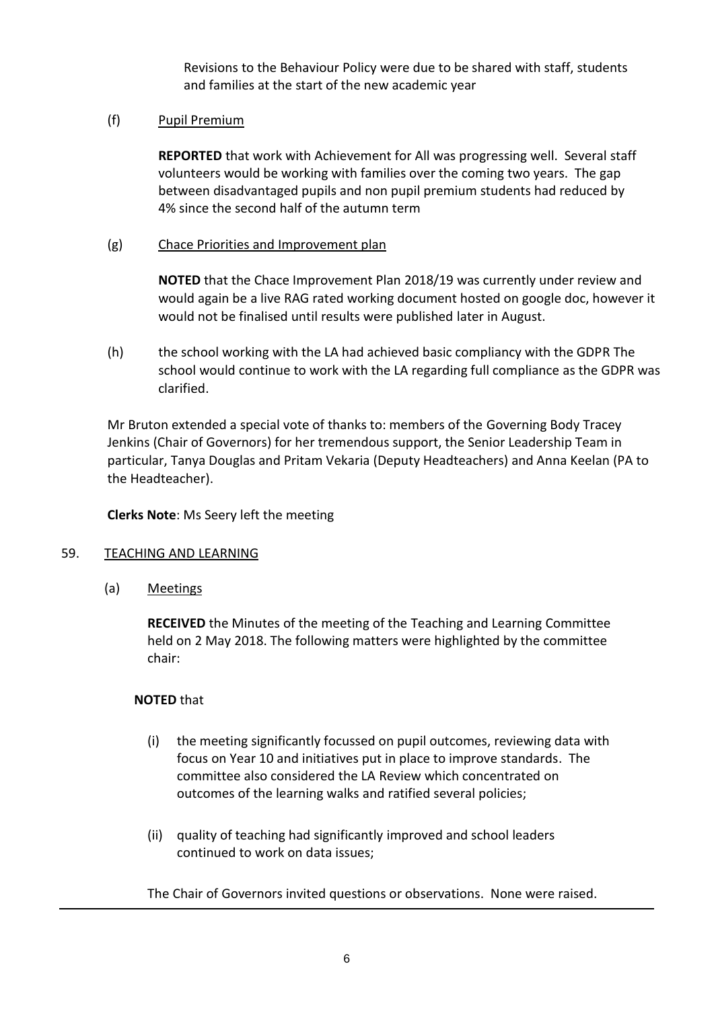Revisions to the Behaviour Policy were due to be shared with staff, students and families at the start of the new academic year

## (f) Pupil Premium

**REPORTED** that work with Achievement for All was progressing well. Several staff volunteers would be working with families over the coming two years. The gap between disadvantaged pupils and non pupil premium students had reduced by 4% since the second half of the autumn term

## (g) Chace Priorities and Improvement plan

**NOTED** that the Chace Improvement Plan 2018/19 was currently under review and would again be a live RAG rated working document hosted on google doc, however it would not be finalised until results were published later in August.

(h) the school working with the LA had achieved basic compliancy with the GDPR The school would continue to work with the LA regarding full compliance as the GDPR was clarified.

Mr Bruton extended a special vote of thanks to: members of the Governing Body Tracey Jenkins (Chair of Governors) for her tremendous support, the Senior Leadership Team in particular, Tanya Douglas and Pritam Vekaria (Deputy Headteachers) and Anna Keelan (PA to the Headteacher).

**Clerks Note**: Ms Seery left the meeting

### 59. TEACHING AND LEARNING

(a) Meetings

**RECEIVED** the Minutes of the meeting of the Teaching and Learning Committee held on 2 May 2018. The following matters were highlighted by the committee chair:

### **NOTED** that

- (i) the meeting significantly focussed on pupil outcomes, reviewing data with focus on Year 10 and initiatives put in place to improve standards. The committee also considered the LA Review which concentrated on outcomes of the learning walks and ratified several policies;
- (ii) quality of teaching had significantly improved and school leaders continued to work on data issues;

The Chair of Governors invited questions or observations. None were raised.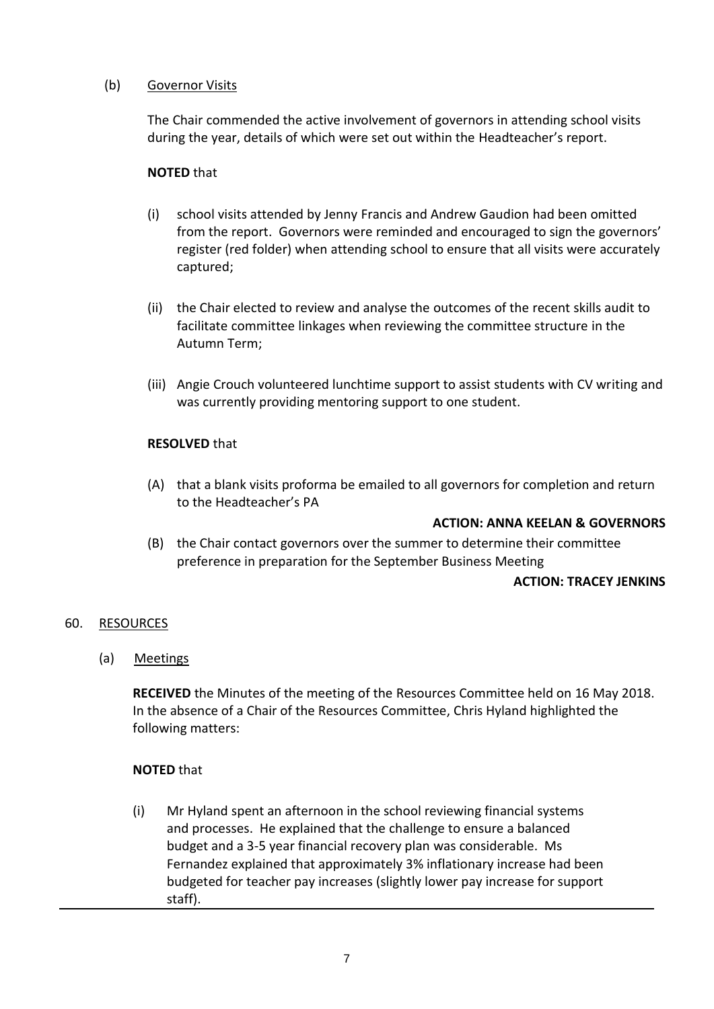## (b) Governor Visits

The Chair commended the active involvement of governors in attending school visits during the year, details of which were set out within the Headteacher's report.

### **NOTED** that

- (i) school visits attended by Jenny Francis and Andrew Gaudion had been omitted from the report. Governors were reminded and encouraged to sign the governors' register (red folder) when attending school to ensure that all visits were accurately captured;
- (ii) the Chair elected to review and analyse the outcomes of the recent skills audit to facilitate committee linkages when reviewing the committee structure in the Autumn Term;
- (iii) Angie Crouch volunteered lunchtime support to assist students with CV writing and was currently providing mentoring support to one student.

### **RESOLVED** that

(A) that a blank visits proforma be emailed to all governors for completion and return to the Headteacher's PA

### **ACTION: ANNA KEELAN & GOVERNORS**

(B) the Chair contact governors over the summer to determine their committee preference in preparation for the September Business Meeting

### **ACTION: TRACEY JENKINS**

### 60. RESOURCES

(a) Meetings

**RECEIVED** the Minutes of the meeting of the Resources Committee held on 16 May 2018. In the absence of a Chair of the Resources Committee, Chris Hyland highlighted the following matters:

### **NOTED** that

(i) Mr Hyland spent an afternoon in the school reviewing financial systems and processes. He explained that the challenge to ensure a balanced budget and a 3-5 year financial recovery plan was considerable. Ms Fernandez explained that approximately 3% inflationary increase had been budgeted for teacher pay increases (slightly lower pay increase for support staff).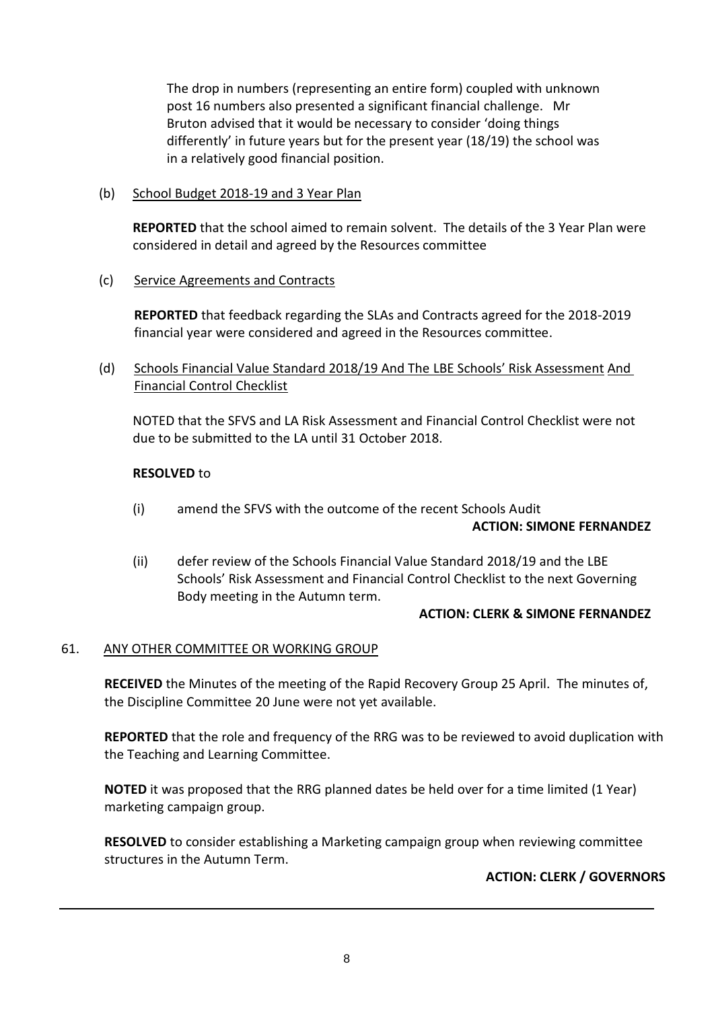The drop in numbers (representing an entire form) coupled with unknown post 16 numbers also presented a significant financial challenge. Mr Bruton advised that it would be necessary to consider 'doing things differently' in future years but for the present year (18/19) the school was in a relatively good financial position.

(b) School Budget 2018-19 and 3 Year Plan

**REPORTED** that the school aimed to remain solvent. The details of the 3 Year Plan were considered in detail and agreed by the Resources committee

(c) Service Agreements and Contracts

**REPORTED** that feedback regarding the SLAs and Contracts agreed for the 2018-2019 financial year were considered and agreed in the Resources committee.

(d) Schools Financial Value Standard 2018/19 And The LBE Schools' Risk Assessment And Financial Control Checklist

NOTED that the SFVS and LA Risk Assessment and Financial Control Checklist were not due to be submitted to the LA until 31 October 2018.

## **RESOLVED** to

- (i) amend the SFVS with the outcome of the recent Schools Audit **ACTION: SIMONE FERNANDEZ**
- (ii) defer review of the Schools Financial Value Standard 2018/19 and the LBE Schools' Risk Assessment and Financial Control Checklist to the next Governing Body meeting in the Autumn term.

### **ACTION: CLERK & SIMONE FERNANDEZ**

### 61. ANY OTHER COMMITTEE OR WORKING GROUP

**RECEIVED** the Minutes of the meeting of the Rapid Recovery Group 25 April. The minutes of, the Discipline Committee 20 June were not yet available.

**REPORTED** that the role and frequency of the RRG was to be reviewed to avoid duplication with the Teaching and Learning Committee.

**NOTED** it was proposed that the RRG planned dates be held over for a time limited (1 Year) marketing campaign group.

**RESOLVED** to consider establishing a Marketing campaign group when reviewing committee structures in the Autumn Term.

# **ACTION: CLERK / GOVERNORS**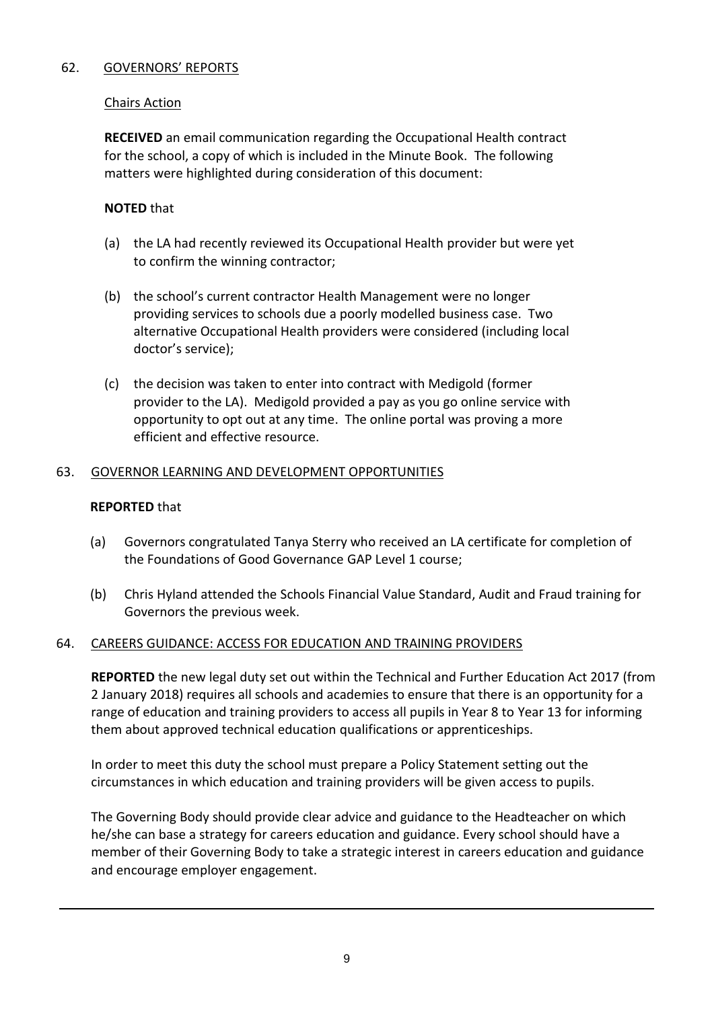# 62. GOVERNORS' REPORTS

## Chairs Action

**RECEIVED** an email communication regarding the Occupational Health contract for the school, a copy of which is included in the Minute Book. The following matters were highlighted during consideration of this document:

## **NOTED** that

- (a) the LA had recently reviewed its Occupational Health provider but were yet to confirm the winning contractor;
- (b) the school's current contractor Health Management were no longer providing services to schools due a poorly modelled business case. Two alternative Occupational Health providers were considered (including local doctor's service);
- (c) the decision was taken to enter into contract with Medigold (former provider to the LA). Medigold provided a pay as you go online service with opportunity to opt out at any time. The online portal was proving a more efficient and effective resource.

## 63. GOVERNOR LEARNING AND DEVELOPMENT OPPORTUNITIES

### **REPORTED** that

- (a) Governors congratulated Tanya Sterry who received an LA certificate for completion of the Foundations of Good Governance GAP Level 1 course;
- (b) Chris Hyland attended the Schools Financial Value Standard, Audit and Fraud training for Governors the previous week.

### 64. CAREERS GUIDANCE: ACCESS FOR EDUCATION AND TRAINING PROVIDERS

**REPORTED** the new legal duty set out within the Technical and Further Education Act 2017 (from 2 January 2018) requires all schools and academies to ensure that there is an opportunity for a range of education and training providers to access all pupils in Year 8 to Year 13 for informing them about approved technical education qualifications or apprenticeships.

In order to meet this duty the school must prepare a Policy Statement setting out the circumstances in which education and training providers will be given access to pupils.

The Governing Body should provide clear advice and guidance to the Headteacher on which he/she can base a strategy for careers education and guidance. Every school should have a member of their Governing Body to take a strategic interest in careers education and guidance and encourage employer engagement.